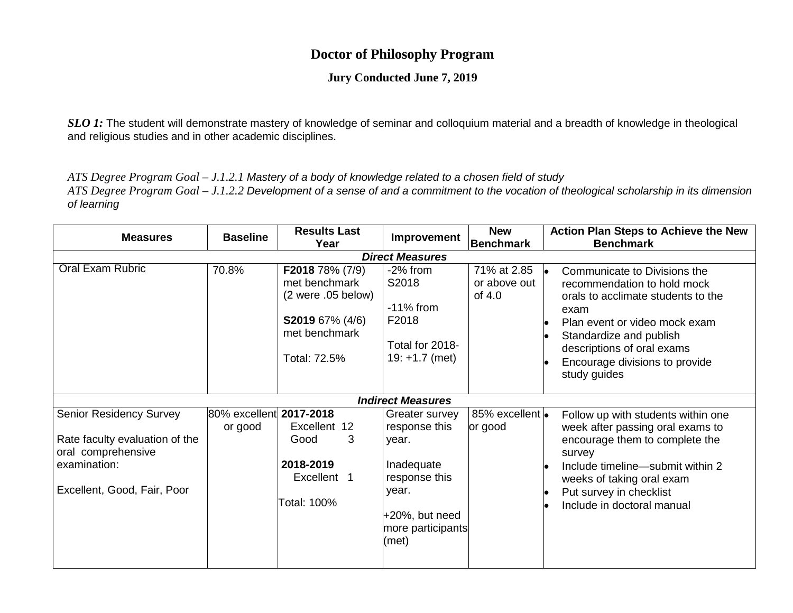## **Doctor of Philosophy Program**

## **Jury Conducted June 7, 2019**

*SLO 1*: The student will demonstrate mastery of knowledge of seminar and colloquium material and a breadth of knowledge in theological and religious studies and in other academic disciplines.

*ATS Degree Program Goal – J.1.2.1 Mastery of a body of knowledge related to a chosen field of study*

*ATS Degree Program Goal – J.1.2.2 Development of a sense of and a commitment to the vocation of theological scholarship in its dimension of learning*

| <b>Measures</b>                                                                                                                       | <b>Baseline</b>                    | <b>Results Last</b><br>Year                                                                                       | Improvement                                                                                                                         | <b>New</b><br><b>Benchmark</b>        | <b>Action Plan Steps to Achieve the New</b><br><b>Benchmark</b>                                                                                                                                                                                              |  |  |
|---------------------------------------------------------------------------------------------------------------------------------------|------------------------------------|-------------------------------------------------------------------------------------------------------------------|-------------------------------------------------------------------------------------------------------------------------------------|---------------------------------------|--------------------------------------------------------------------------------------------------------------------------------------------------------------------------------------------------------------------------------------------------------------|--|--|
| <b>Direct Measures</b>                                                                                                                |                                    |                                                                                                                   |                                                                                                                                     |                                       |                                                                                                                                                                                                                                                              |  |  |
| Oral Exam Rubric                                                                                                                      | 70.8%                              | F2018 78% (7/9)<br>met benchmark<br>(2 were .05 below)<br><b>S2019</b> 67% (4/6)<br>met benchmark<br>Total: 72.5% | -2% from<br>S2018<br>$-11\%$ from<br>F2018<br>Total for 2018-<br>$19: +1.7$ (met)                                                   | 71% at 2.85<br>or above out<br>of 4.0 | Communicate to Divisions the<br>le.<br>recommendation to hold mock<br>orals to acclimate students to the<br>exam<br>Plan event or video mock exam<br>Standardize and publish<br>descriptions of oral exams<br>Encourage divisions to provide<br>study guides |  |  |
|                                                                                                                                       |                                    |                                                                                                                   | <b>Indirect Measures</b>                                                                                                            |                                       |                                                                                                                                                                                                                                                              |  |  |
| <b>Senior Residency Survey</b><br>Rate faculty evaluation of the<br>oral comprehensive<br>examination:<br>Excellent, Good, Fair, Poor | 80% excellent 2017-2018<br>or good | Excellent 12<br>3<br>Good<br>2018-2019<br>Excellent 1<br>Total: 100%                                              | Greater survey<br>response this<br>year.<br>Inadequate<br>response this<br>year.<br>$+20%$ , but need<br>more participants<br>(met) | 85% excellent  •<br>or good           | Follow up with students within one<br>week after passing oral exams to<br>encourage them to complete the<br>survey<br>Include timeline-submit within 2<br>weeks of taking oral exam<br>Put survey in checklist<br>Include in doctoral manual                 |  |  |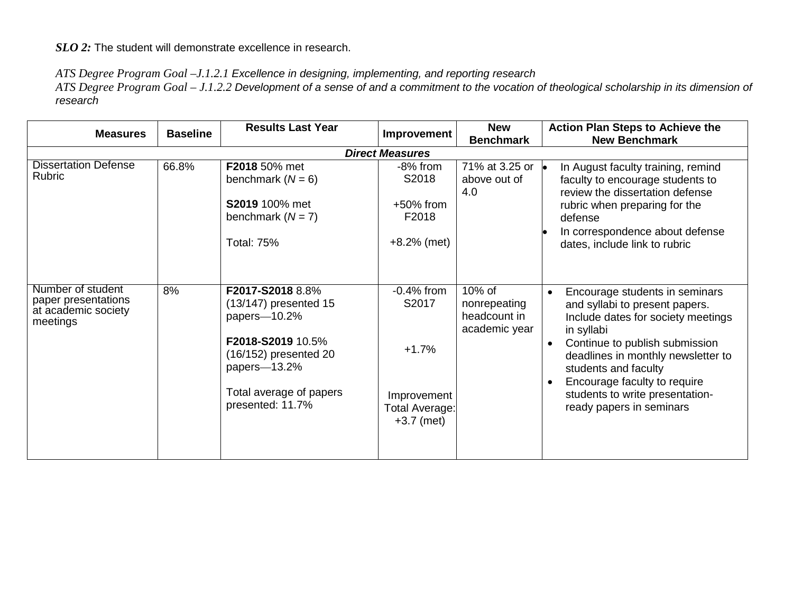*SLO 2:* The student will demonstrate excellence in research.

## *ATS Degree Program Goal –J.1.2.1 Excellence in designing, implementing, and reporting research*

*ATS Degree Program Goal – J.1.2.2 Development of a sense of and a commitment to the vocation of theological scholarship in its dimension of research*

| <b>Measures</b>                                                             | <b>Baseline</b> | <b>Results Last Year</b>                                                                                                                                                 | Improvement                                                                       | <b>New</b><br><b>Benchmark</b>                          | <b>Action Plan Steps to Achieve the</b><br><b>New Benchmark</b>                                                                                                                                                                                                                                                                               |
|-----------------------------------------------------------------------------|-----------------|--------------------------------------------------------------------------------------------------------------------------------------------------------------------------|-----------------------------------------------------------------------------------|---------------------------------------------------------|-----------------------------------------------------------------------------------------------------------------------------------------------------------------------------------------------------------------------------------------------------------------------------------------------------------------------------------------------|
|                                                                             |                 | <b>Direct Measures</b>                                                                                                                                                   |                                                                                   |                                                         |                                                                                                                                                                                                                                                                                                                                               |
| <b>Dissertation Defense</b><br><b>Rubric</b>                                | 66.8%           | F2018 50% met<br>benchmark $(N = 6)$<br><b>S2019</b> 100% met<br>benchmark $(N = 7)$<br><b>Total: 75%</b>                                                                | -8% from<br>S2018<br>$+50\%$ from<br>F2018<br>$+8.2%$ (met)                       | 71% at 3.25 or <b>.</b><br>above out of<br>4.0          | In August faculty training, remind<br>faculty to encourage students to<br>review the dissertation defense<br>rubric when preparing for the<br>defense<br>In correspondence about defense<br>dates, include link to rubric                                                                                                                     |
| Number of student<br>paper presentations<br>at academic society<br>meetings | 8%              | F2017-S2018 8.8%<br>$(13/147)$ presented 15<br>papers-10.2%<br>F2018-S2019 10.5%<br>(16/152) presented 20<br>papers-13.2%<br>Total average of papers<br>presented: 11.7% | $-0.4%$ from<br>S2017<br>$+1.7%$<br>Improvement<br>Total Average:<br>$+3.7$ (met) | 10% of<br>nonrepeating<br>headcount in<br>academic year | Encourage students in seminars<br>$\bullet$<br>and syllabi to present papers.<br>Include dates for society meetings<br>in syllabi<br>Continue to publish submission<br>$\bullet$<br>deadlines in monthly newsletter to<br>students and faculty<br>Encourage faculty to require<br>students to write presentation-<br>ready papers in seminars |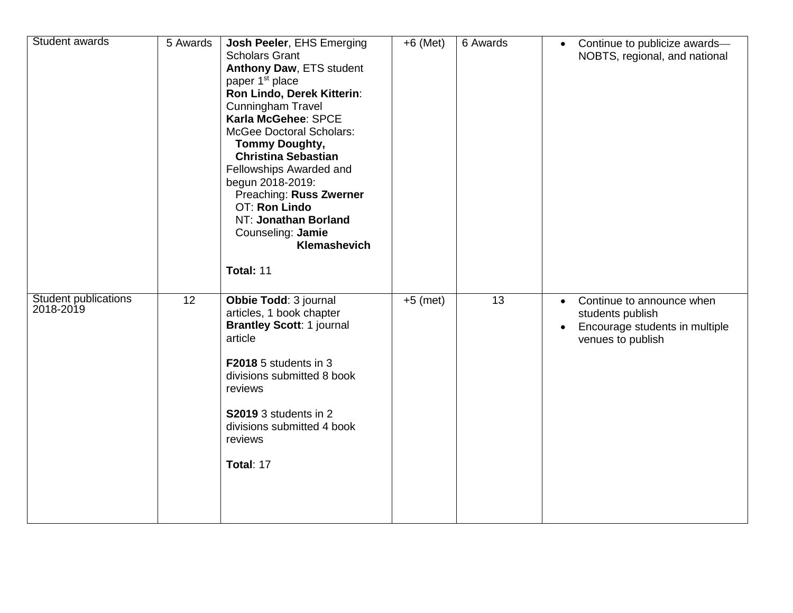| Student awards                           | 5 Awards | Josh Peeler, EHS Emerging<br><b>Scholars Grant</b><br>Anthony Daw, ETS student<br>paper 1 <sup>st</sup> place<br>Ron Lindo, Derek Kitterin:<br><b>Cunningham Travel</b><br>Karla McGehee: SPCE<br><b>McGee Doctoral Scholars:</b><br><b>Tommy Doughty,</b><br><b>Christina Sebastian</b><br>Fellowships Awarded and<br>begun 2018-2019:<br>Preaching: Russ Zwerner<br><b>OT: Ron Lindo</b><br>NT: Jonathan Borland<br>Counseling: Jamie<br>Klemashevich<br>Total: 11 | $+6$ (Met) | 6 Awards | $\bullet$              | Continue to publicize awards-<br>NOBTS, regional, and national                                       |
|------------------------------------------|----------|----------------------------------------------------------------------------------------------------------------------------------------------------------------------------------------------------------------------------------------------------------------------------------------------------------------------------------------------------------------------------------------------------------------------------------------------------------------------|------------|----------|------------------------|------------------------------------------------------------------------------------------------------|
| <b>Student publications</b><br>2018-2019 | 12       | Obbie Todd: 3 journal<br>articles, 1 book chapter<br><b>Brantley Scott: 1 journal</b><br>article<br>F2018 5 students in 3<br>divisions submitted 8 book<br>reviews<br>S2019 3 students in 2<br>divisions submitted 4 book<br>reviews<br>Total: 17                                                                                                                                                                                                                    | $+5$ (met) | 13       | $\bullet$<br>$\bullet$ | Continue to announce when<br>students publish<br>Encourage students in multiple<br>venues to publish |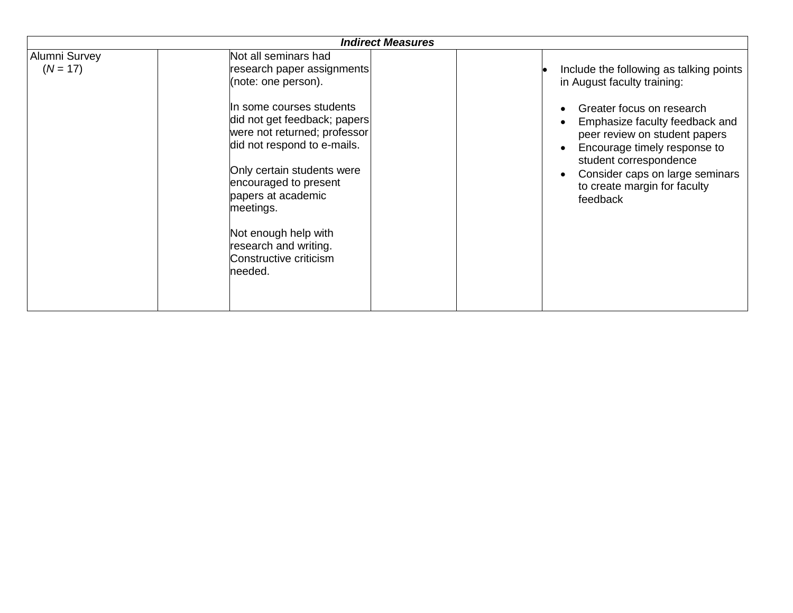|                             | <b>Indirect Measures</b>                                                                                                                                                                                                                                                                                                                        |                                                                                                                                                                                                                                                                                                                              |
|-----------------------------|-------------------------------------------------------------------------------------------------------------------------------------------------------------------------------------------------------------------------------------------------------------------------------------------------------------------------------------------------|------------------------------------------------------------------------------------------------------------------------------------------------------------------------------------------------------------------------------------------------------------------------------------------------------------------------------|
| Alumni Survey<br>$(N = 17)$ | Not all seminars had<br>research paper assignments<br>(note: one person).<br>In some courses students<br>did not get feedback; papers<br>were not returned; professor<br>did not respond to e-mails.<br>Only certain students were<br>encouraged to present<br>papers at academic<br>meetings.<br>Not enough help with<br>research and writing. | Include the following as talking points<br>in August faculty training:<br>Greater focus on research<br>Emphasize faculty feedback and<br>peer review on student papers<br>Encourage timely response to<br>$\bullet$<br>student correspondence<br>Consider caps on large seminars<br>to create margin for faculty<br>feedback |
|                             | Constructive criticism<br>needed.                                                                                                                                                                                                                                                                                                               |                                                                                                                                                                                                                                                                                                                              |
|                             |                                                                                                                                                                                                                                                                                                                                                 |                                                                                                                                                                                                                                                                                                                              |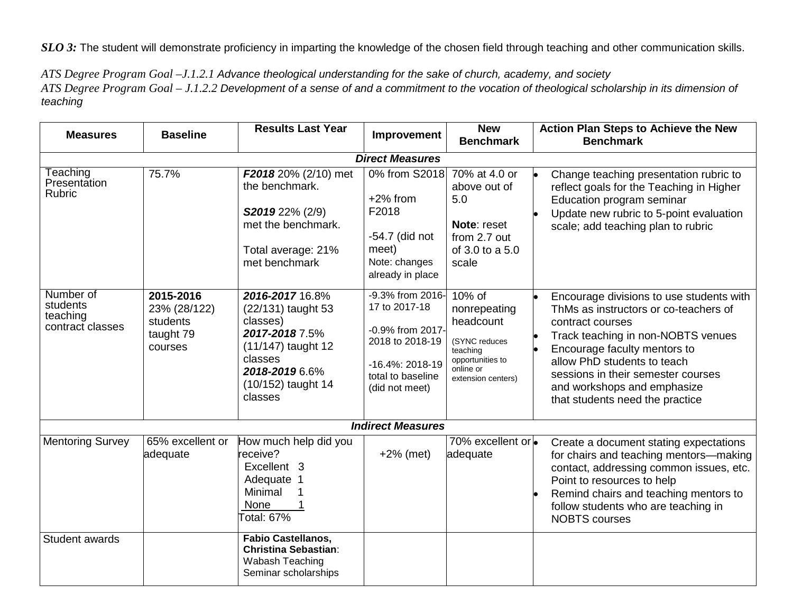*SLO 3:* The student will demonstrate proficiency in imparting the knowledge of the chosen field through teaching and other communication skills.

*ATS Degree Program Goal –J.1.2.1 Advance theological understanding for the sake of church, academy, and society ATS Degree Program Goal – J.1.2.2 Development of a sense of and a commitment to the vocation of theological scholarship in its dimension of teaching*

| <b>Measures</b>                                       | <b>Baseline</b>                                               | <b>Results Last Year</b>                                                                                                                                | Improvement                                                                                                                        | <b>New</b><br><b>Benchmark</b>                                                                                          | <b>Action Plan Steps to Achieve the New</b><br><b>Benchmark</b>                                                                                                                                                                                                                                                    |  |  |
|-------------------------------------------------------|---------------------------------------------------------------|---------------------------------------------------------------------------------------------------------------------------------------------------------|------------------------------------------------------------------------------------------------------------------------------------|-------------------------------------------------------------------------------------------------------------------------|--------------------------------------------------------------------------------------------------------------------------------------------------------------------------------------------------------------------------------------------------------------------------------------------------------------------|--|--|
| <b>Direct Measures</b>                                |                                                               |                                                                                                                                                         |                                                                                                                                    |                                                                                                                         |                                                                                                                                                                                                                                                                                                                    |  |  |
| Teaching<br>Presentation<br><b>Rubric</b>             | 75.7%                                                         | F2018 20% (2/10) met<br>the benchmark.<br>S2019 22% (2/9)<br>met the benchmark.<br>Total average: 21%<br>met benchmark                                  | 0% from S2018<br>$+2\%$ from<br>F2018<br>-54.7 (did not<br>meet)<br>Note: changes<br>already in place                              | 70% at 4.0 or<br>above out of<br>5.0<br>Note: reset<br>from 2.7 out<br>of 3.0 to a 5.0<br>scale                         | Change teaching presentation rubric to<br>reflect goals for the Teaching in Higher<br>Education program seminar<br>Update new rubric to 5-point evaluation<br>scale; add teaching plan to rubric                                                                                                                   |  |  |
| Number of<br>students<br>teaching<br>contract classes | 2015-2016<br>23% (28/122)<br>students<br>taught 79<br>courses | 2016-2017 16.8%<br>(22/131) taught 53<br>classes)<br>2017-2018 7.5%<br>(11/147) taught 12<br>classes<br>2018-2019 6.6%<br>(10/152) taught 14<br>classes | -9.3% from 2016-<br>17 to 2017-18<br>-0.9% from 2017-<br>2018 to 2018-19<br>-16.4%: 2018-19<br>total to baseline<br>(did not meet) | 10% of<br>nonrepeating<br>headcount<br>(SYNC reduces<br>teaching<br>opportunities to<br>online or<br>extension centers) | Encourage divisions to use students with<br>ThMs as instructors or co-teachers of<br>contract courses<br>Track teaching in non-NOBTS venues<br>Encourage faculty mentors to<br>allow PhD students to teach<br>sessions in their semester courses<br>and workshops and emphasize<br>that students need the practice |  |  |
|                                                       |                                                               |                                                                                                                                                         | <b>Indirect Measures</b>                                                                                                           |                                                                                                                         |                                                                                                                                                                                                                                                                                                                    |  |  |
| <b>Mentoring Survey</b>                               | 65% excellent or<br>adequate                                  | How much help did you<br>receive?<br>Excellent 3<br>Adequate 1<br>Minimal<br>None<br>Total: 67 $\sqrt{2}$                                               | $+2\%$ (met)                                                                                                                       | 70% excellent or<br>adequate                                                                                            | Create a document stating expectations<br>for chairs and teaching mentors-making<br>contact, addressing common issues, etc.<br>Point to resources to help<br>Remind chairs and teaching mentors to<br>follow students who are teaching in<br><b>NOBTS</b> courses                                                  |  |  |
| Student awards                                        |                                                               | <b>Fabio Castellanos,</b><br><b>Christina Sebastian:</b><br>Wabash Teaching<br>Seminar scholarships                                                     |                                                                                                                                    |                                                                                                                         |                                                                                                                                                                                                                                                                                                                    |  |  |